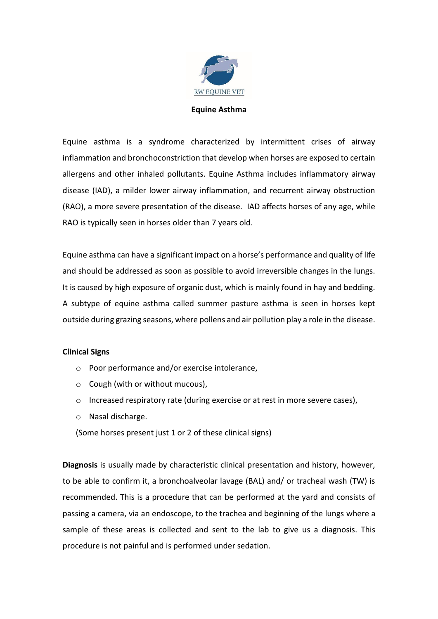

## **Equine Asthma**

Equine asthma is a syndrome characterized by intermittent crises of airway inflammation and bronchoconstriction that develop when horses are exposed to certain allergens and other inhaled pollutants. Equine Asthma includes inflammatory airway disease (IAD), a milder lower airway inflammation, and recurrent airway obstruction (RAO), a more severe presentation of the disease. IAD affects horses of any age, while RAO is typically seen in horses older than 7 years old.

Equine asthma can have a significant impact on a horse's performance and quality of life and should be addressed as soon as possible to avoid irreversible changes in the lungs. It is caused by high exposure of organic dust, which is mainly found in hay and bedding. A subtype of equine asthma called summer pasture asthma is seen in horses kept outside during grazing seasons, where pollens and air pollution play a role in the disease.

## **Clinical Signs**

- o Poor performance and/or exercise intolerance,
- o Cough (with or without mucous),
- $\circ$  Increased respiratory rate (during exercise or at rest in more severe cases),
- o Nasal discharge.
- (Some horses present just 1 or 2 of these clinical signs)

**Diagnosis** is usually made by characteristic clinical presentation and history, however, to be able to confirm it, a bronchoalveolar lavage (BAL) and/ or tracheal wash (TW) is recommended. This is a procedure that can be performed at the yard and consists of passing a camera, via an endoscope, to the trachea and beginning of the lungs where a sample of these areas is collected and sent to the lab to give us a diagnosis. This procedure is not painful and is performed under sedation.